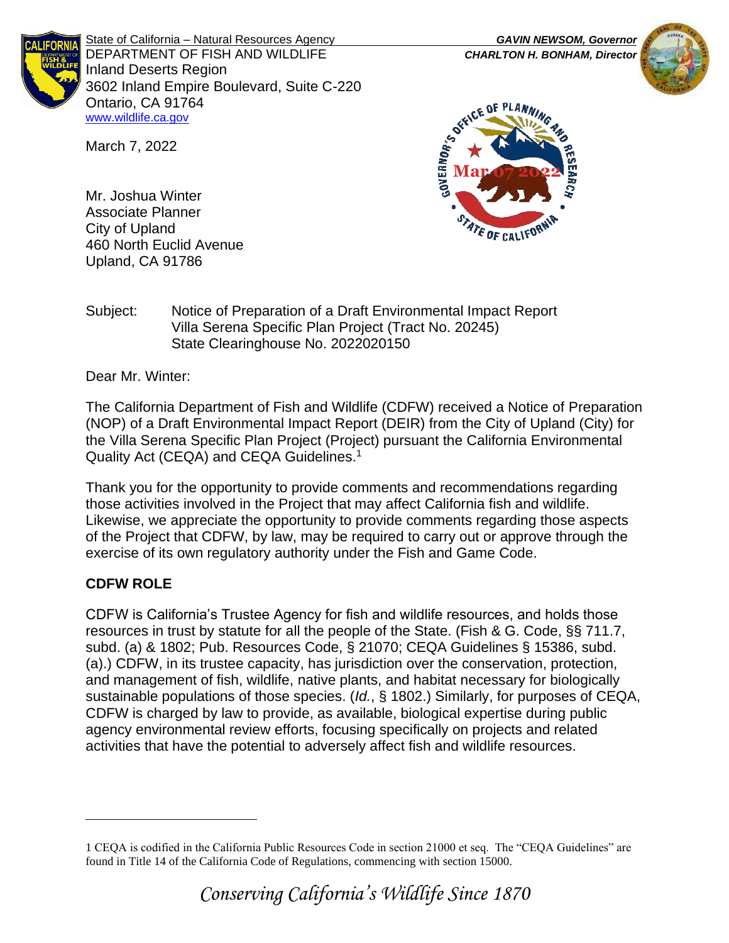

State of California – Natural Resources Agency *GAVIN NEWSOM, Governor* DEPARTMENT OF FISH AND WILDLIFE *CHARLTON H. BONHAM, Director*  Inland Deserts Region 3602 Inland Empire Boulevard, Suite C-220 Ontario, CA 91764 [www.wildlife.ca.gov](http://www.wildlife.ca.gov/)



**Mar DE DE PLAN.** STATE OF CALIFOR

Mr. Joshua Winter Associate Planner City of Upland 460 North Euclid Avenue Upland, CA 91786

March 7, 2022

## Subject: Notice of Preparation of a Draft Environmental Impact Report Villa Serena Specific Plan Project (Tract No. 20245) State Clearinghouse No. 2022020150

Dear Mr. Winter:

The California Department of Fish and Wildlife (CDFW) received a Notice of Preparation (NOP) of a Draft Environmental Impact Report (DEIR) from the City of Upland (City) for the Villa Serena Specific Plan Project (Project) pursuant the California Environmental Quality Act (CEQA) and CEQA Guidelines.<sup>1</sup>

Thank you for the opportunity to provide comments and recommendations regarding those activities involved in the Project that may affect California fish and wildlife. Likewise, we appreciate the opportunity to provide comments regarding those aspects of the Project that CDFW, by law, may be required to carry out or approve through the exercise of its own regulatory authority under the Fish and Game Code.

# **CDFW ROLE**

CDFW is California's Trustee Agency for fish and wildlife resources, and holds those resources in trust by statute for all the people of the State. (Fish & G. Code, §§ 711.7, subd. (a) & 1802; Pub. Resources Code, § 21070; CEQA Guidelines § 15386, subd. (a).) CDFW, in its trustee capacity, has jurisdiction over the conservation, protection, and management of fish, wildlife, native plants, and habitat necessary for biologically sustainable populations of those species. (*Id.*, § 1802.) Similarly, for purposes of CEQA, CDFW is charged by law to provide, as available, biological expertise during public agency environmental review efforts, focusing specifically on projects and related activities that have the potential to adversely affect fish and wildlife resources.

<sup>1</sup> CEQA is codified in the California Public Resources Code in section 21000 et seq. The "CEQA Guidelines" are found in Title 14 of the California Code of Regulations, commencing with section 15000.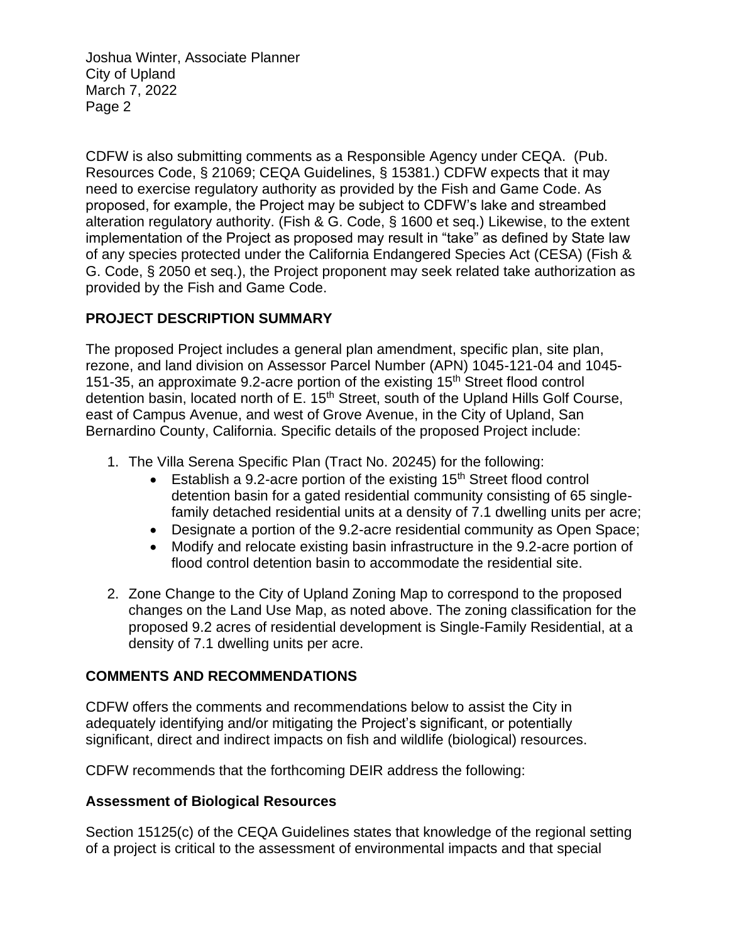CDFW is also submitting comments as a Responsible Agency under CEQA. (Pub. Resources Code, § 21069; CEQA Guidelines, § 15381.) CDFW expects that it may need to exercise regulatory authority as provided by the Fish and Game Code. As proposed, for example, the Project may be subject to CDFW's lake and streambed alteration regulatory authority. (Fish & G. Code, § 1600 et seq.) Likewise, to the extent implementation of the Project as proposed may result in "take" as defined by State law of any species protected under the California Endangered Species Act (CESA) (Fish & G. Code, § 2050 et seq.), the Project proponent may seek related take authorization as provided by the Fish and Game Code.

# **PROJECT DESCRIPTION SUMMARY**

The proposed Project includes a general plan amendment, specific plan, site plan, rezone, and land division on Assessor Parcel Number (APN) 1045-121-04 and 1045- 151-35, an approximate 9.2-acre portion of the existing 15th Street flood control detention basin, located north of E. 15<sup>th</sup> Street, south of the Upland Hills Golf Course, east of Campus Avenue, and west of Grove Avenue, in the City of Upland, San Bernardino County, California. Specific details of the proposed Project include:

- 1. The Villa Serena Specific Plan (Tract No. 20245) for the following:
	- Establish a 9.2-acre portion of the existing  $15<sup>th</sup>$  Street flood control detention basin for a gated residential community consisting of 65 singlefamily detached residential units at a density of 7.1 dwelling units per acre;
	- Designate a portion of the 9.2-acre residential community as Open Space;
	- Modify and relocate existing basin infrastructure in the 9.2-acre portion of flood control detention basin to accommodate the residential site.
- 2. Zone Change to the City of Upland Zoning Map to correspond to the proposed changes on the Land Use Map, as noted above. The zoning classification for the proposed 9.2 acres of residential development is Single-Family Residential, at a density of 7.1 dwelling units per acre.

#### **COMMENTS AND RECOMMENDATIONS**

CDFW offers the comments and recommendations below to assist the City in adequately identifying and/or mitigating the Project's significant, or potentially significant, direct and indirect impacts on fish and wildlife (biological) resources.

CDFW recommends that the forthcoming DEIR address the following:

# **Assessment of Biological Resources**

Section 15125(c) of the CEQA Guidelines states that knowledge of the regional setting of a project is critical to the assessment of environmental impacts and that special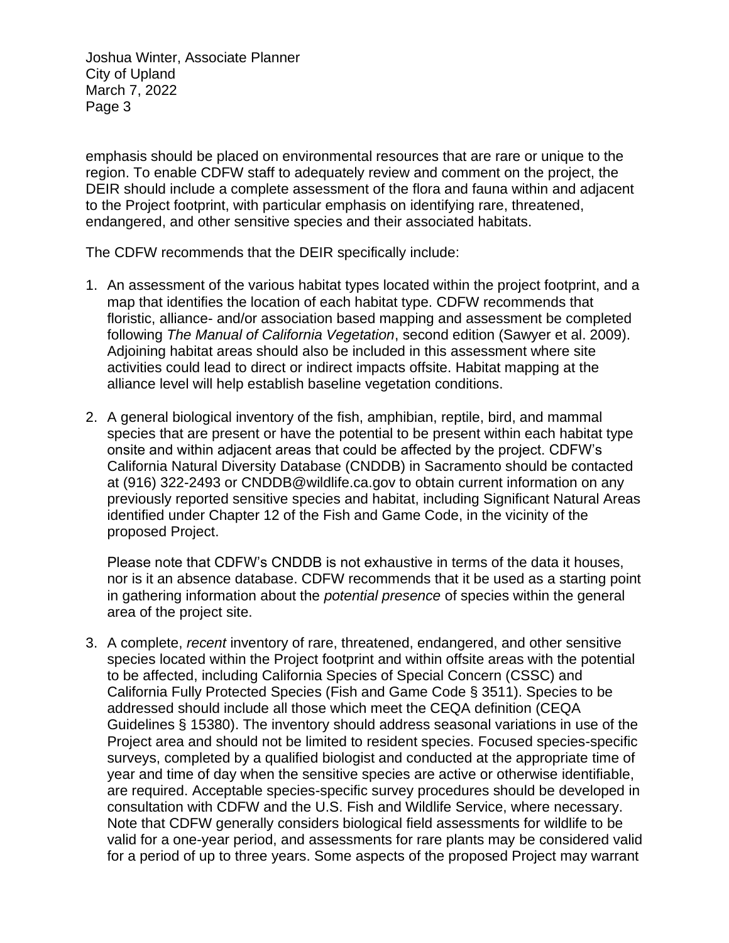emphasis should be placed on environmental resources that are rare or unique to the region. To enable CDFW staff to adequately review and comment on the project, the DEIR should include a complete assessment of the flora and fauna within and adjacent to the Project footprint, with particular emphasis on identifying rare, threatened, endangered, and other sensitive species and their associated habitats.

The CDFW recommends that the DEIR specifically include:

- 1. An assessment of the various habitat types located within the project footprint, and a map that identifies the location of each habitat type. CDFW recommends that floristic, alliance- and/or association based mapping and assessment be completed following *The Manual of California Vegetation*, second edition (Sawyer et al. 2009). Adjoining habitat areas should also be included in this assessment where site activities could lead to direct or indirect impacts offsite. Habitat mapping at the alliance level will help establish baseline vegetation conditions.
- 2. A general biological inventory of the fish, amphibian, reptile, bird, and mammal species that are present or have the potential to be present within each habitat type onsite and within adjacent areas that could be affected by the project. CDFW's California Natural Diversity Database (CNDDB) in Sacramento should be contacted at (916) 322-2493 or CNDDB@wildlife.ca.gov to obtain current information on any previously reported sensitive species and habitat, including Significant Natural Areas identified under Chapter 12 of the Fish and Game Code, in the vicinity of the proposed Project.

Please note that CDFW's CNDDB is not exhaustive in terms of the data it houses, nor is it an absence database. CDFW recommends that it be used as a starting point in gathering information about the *potential presence* of species within the general area of the project site.

3. A complete, *recent* inventory of rare, threatened, endangered, and other sensitive species located within the Project footprint and within offsite areas with the potential to be affected, including California Species of Special Concern (CSSC) and California Fully Protected Species (Fish and Game Code § 3511). Species to be addressed should include all those which meet the CEQA definition (CEQA Guidelines § 15380). The inventory should address seasonal variations in use of the Project area and should not be limited to resident species. Focused species-specific surveys, completed by a qualified biologist and conducted at the appropriate time of year and time of day when the sensitive species are active or otherwise identifiable, are required. Acceptable species-specific survey procedures should be developed in consultation with CDFW and the U.S. Fish and Wildlife Service, where necessary. Note that CDFW generally considers biological field assessments for wildlife to be valid for a one-year period, and assessments for rare plants may be considered valid for a period of up to three years. Some aspects of the proposed Project may warrant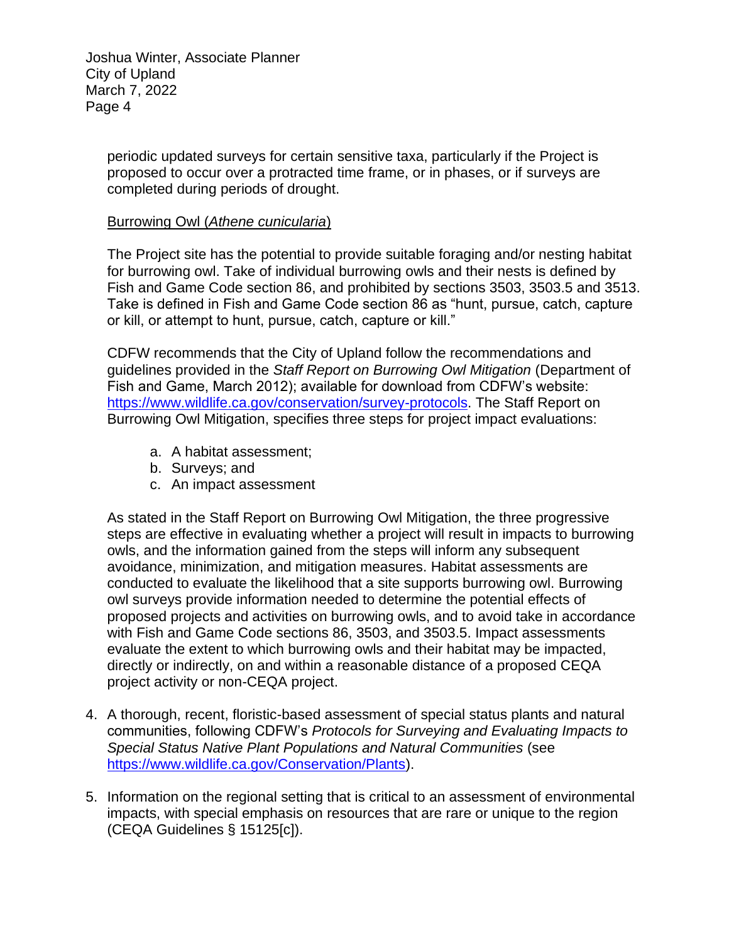> periodic updated surveys for certain sensitive taxa, particularly if the Project is proposed to occur over a protracted time frame, or in phases, or if surveys are completed during periods of drought.

#### Burrowing Owl (*Athene cunicularia*)

The Project site has the potential to provide suitable foraging and/or nesting habitat for burrowing owl. Take of individual burrowing owls and their nests is defined by Fish and Game Code section 86, and prohibited by sections 3503, 3503.5 and 3513. Take is defined in Fish and Game Code section 86 as "hunt, pursue, catch, capture or kill, or attempt to hunt, pursue, catch, capture or kill."

CDFW recommends that the City of Upland follow the recommendations and guidelines provided in the *Staff Report on Burrowing Owl Mitigation* (Department of Fish and Game, March 2012); available for download from CDFW's website: [https://www.wildlife.ca.gov/conservation/survey-protocols.](https://www.wildlife.ca.gov/conservation/survey-protocols) The Staff Report on Burrowing Owl Mitigation, specifies three steps for project impact evaluations:

- a. A habitat assessment;
- b. Surveys; and
- c. An impact assessment

As stated in the Staff Report on Burrowing Owl Mitigation, the three progressive steps are effective in evaluating whether a project will result in impacts to burrowing owls, and the information gained from the steps will inform any subsequent avoidance, minimization, and mitigation measures. Habitat assessments are conducted to evaluate the likelihood that a site supports burrowing owl. Burrowing owl surveys provide information needed to determine the potential effects of proposed projects and activities on burrowing owls, and to avoid take in accordance with Fish and Game Code sections 86, 3503, and 3503.5. Impact assessments evaluate the extent to which burrowing owls and their habitat may be impacted, directly or indirectly, on and within a reasonable distance of a proposed CEQA project activity or non-CEQA project.

- 4. A thorough, recent, floristic-based assessment of special status plants and natural communities, following CDFW's *Protocols for Surveying and Evaluating Impacts to Special Status Native Plant Populations and Natural Communities* (see [https://www.wildlife.ca.gov/Conservation/Plants\)](https://www.wildlife.ca.gov/Conservation/Plants).
- 5. Information on the regional setting that is critical to an assessment of environmental impacts, with special emphasis on resources that are rare or unique to the region (CEQA Guidelines § 15125[c]).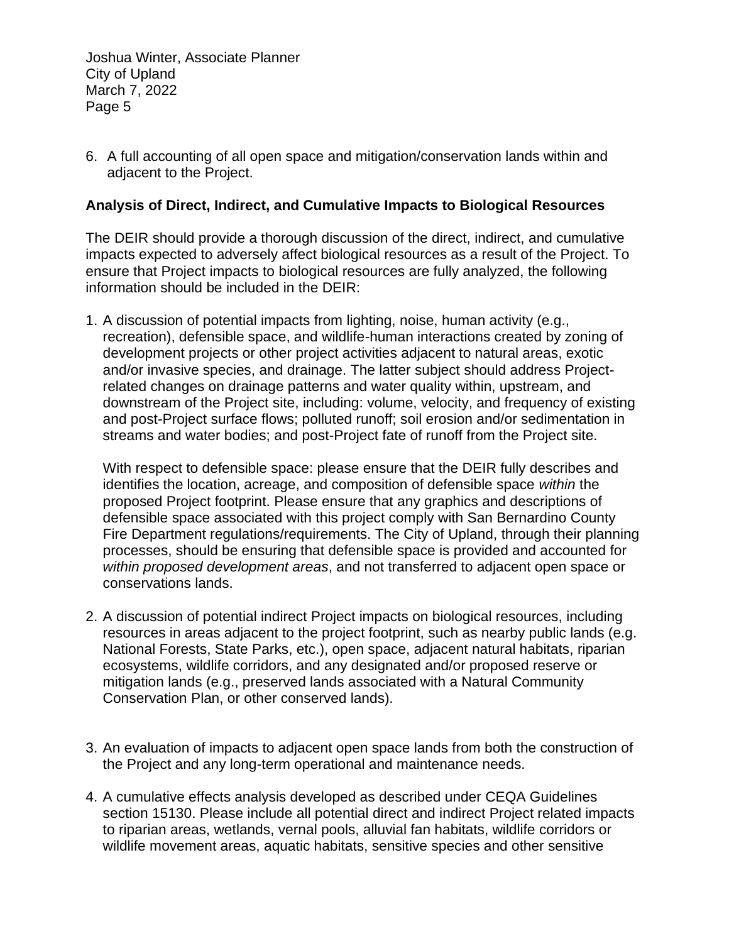6. A full accounting of all open space and mitigation/conservation lands within and adjacent to the Project.

#### **Analysis of Direct, Indirect, and Cumulative Impacts to Biological Resources**

The DEIR should provide a thorough discussion of the direct, indirect, and cumulative impacts expected to adversely affect biological resources as a result of the Project. To ensure that Project impacts to biological resources are fully analyzed, the following information should be included in the DEIR:

1. A discussion of potential impacts from lighting, noise, human activity (e.g., recreation), defensible space, and wildlife-human interactions created by zoning of development projects or other project activities adjacent to natural areas, exotic and/or invasive species, and drainage. The latter subject should address Projectrelated changes on drainage patterns and water quality within, upstream, and downstream of the Project site, including: volume, velocity, and frequency of existing and post-Project surface flows; polluted runoff; soil erosion and/or sedimentation in streams and water bodies; and post-Project fate of runoff from the Project site.

With respect to defensible space: please ensure that the DEIR fully describes and identifies the location, acreage, and composition of defensible space *within* the proposed Project footprint. Please ensure that any graphics and descriptions of defensible space associated with this project comply with San Bernardino County Fire Department regulations/requirements. The City of Upland, through their planning processes, should be ensuring that defensible space is provided and accounted for *within proposed development areas*, and not transferred to adjacent open space or conservations lands.

- 2. A discussion of potential indirect Project impacts on biological resources, including resources in areas adjacent to the project footprint, such as nearby public lands (e.g. National Forests, State Parks, etc.), open space, adjacent natural habitats, riparian ecosystems, wildlife corridors, and any designated and/or proposed reserve or mitigation lands (e.g., preserved lands associated with a Natural Community Conservation Plan, or other conserved lands).
- 3. An evaluation of impacts to adjacent open space lands from both the construction of the Project and any long-term operational and maintenance needs.
- 4. A cumulative effects analysis developed as described under CEQA Guidelines section 15130. Please include all potential direct and indirect Project related impacts to riparian areas, wetlands, vernal pools, alluvial fan habitats, wildlife corridors or wildlife movement areas, aquatic habitats, sensitive species and other sensitive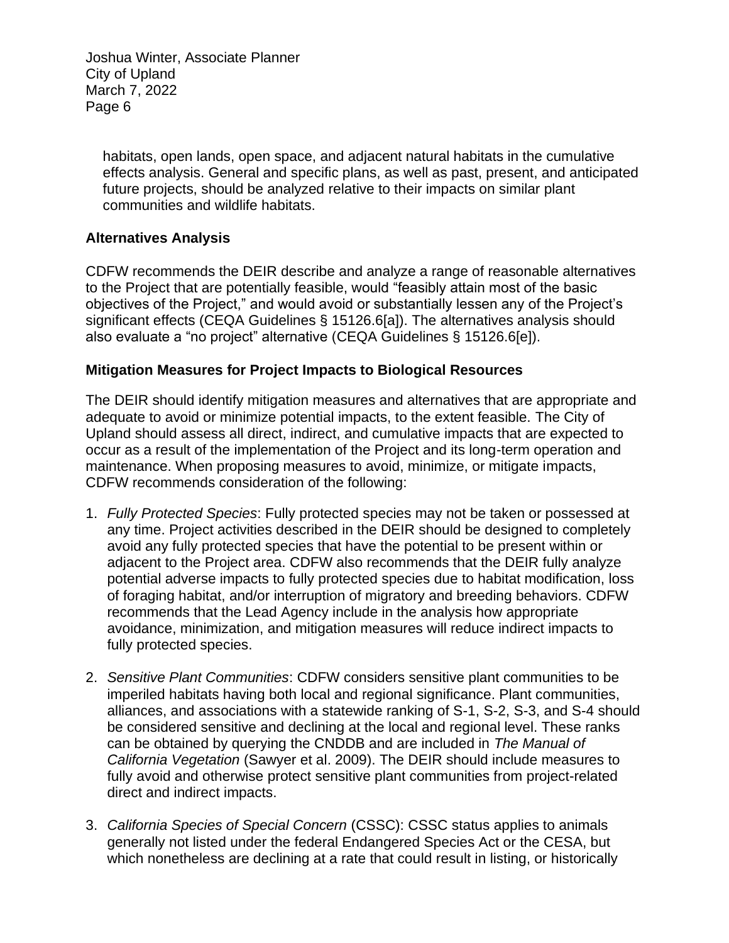habitats, open lands, open space, and adjacent natural habitats in the cumulative effects analysis. General and specific plans, as well as past, present, and anticipated future projects, should be analyzed relative to their impacts on similar plant communities and wildlife habitats.

## **Alternatives Analysis**

CDFW recommends the DEIR describe and analyze a range of reasonable alternatives to the Project that are potentially feasible, would "feasibly attain most of the basic objectives of the Project," and would avoid or substantially lessen any of the Project's significant effects (CEQA Guidelines § 15126.6[a]). The alternatives analysis should also evaluate a "no project" alternative (CEQA Guidelines § 15126.6[e]).

#### **Mitigation Measures for Project Impacts to Biological Resources**

The DEIR should identify mitigation measures and alternatives that are appropriate and adequate to avoid or minimize potential impacts, to the extent feasible. The City of Upland should assess all direct, indirect, and cumulative impacts that are expected to occur as a result of the implementation of the Project and its long-term operation and maintenance. When proposing measures to avoid, minimize, or mitigate impacts, CDFW recommends consideration of the following:

- 1. *Fully Protected Species*: Fully protected species may not be taken or possessed at any time. Project activities described in the DEIR should be designed to completely avoid any fully protected species that have the potential to be present within or adjacent to the Project area. CDFW also recommends that the DEIR fully analyze potential adverse impacts to fully protected species due to habitat modification, loss of foraging habitat, and/or interruption of migratory and breeding behaviors. CDFW recommends that the Lead Agency include in the analysis how appropriate avoidance, minimization, and mitigation measures will reduce indirect impacts to fully protected species.
- 2. *Sensitive Plant Communities*: CDFW considers sensitive plant communities to be imperiled habitats having both local and regional significance. Plant communities, alliances, and associations with a statewide ranking of S-1, S-2, S-3, and S-4 should be considered sensitive and declining at the local and regional level. These ranks can be obtained by querying the CNDDB and are included in *The Manual of California Vegetation* (Sawyer et al. 2009). The DEIR should include measures to fully avoid and otherwise protect sensitive plant communities from project-related direct and indirect impacts.
- 3. *California Species of Special Concern* (CSSC): CSSC status applies to animals generally not listed under the federal Endangered Species Act or the CESA, but which nonetheless are declining at a rate that could result in listing, or historically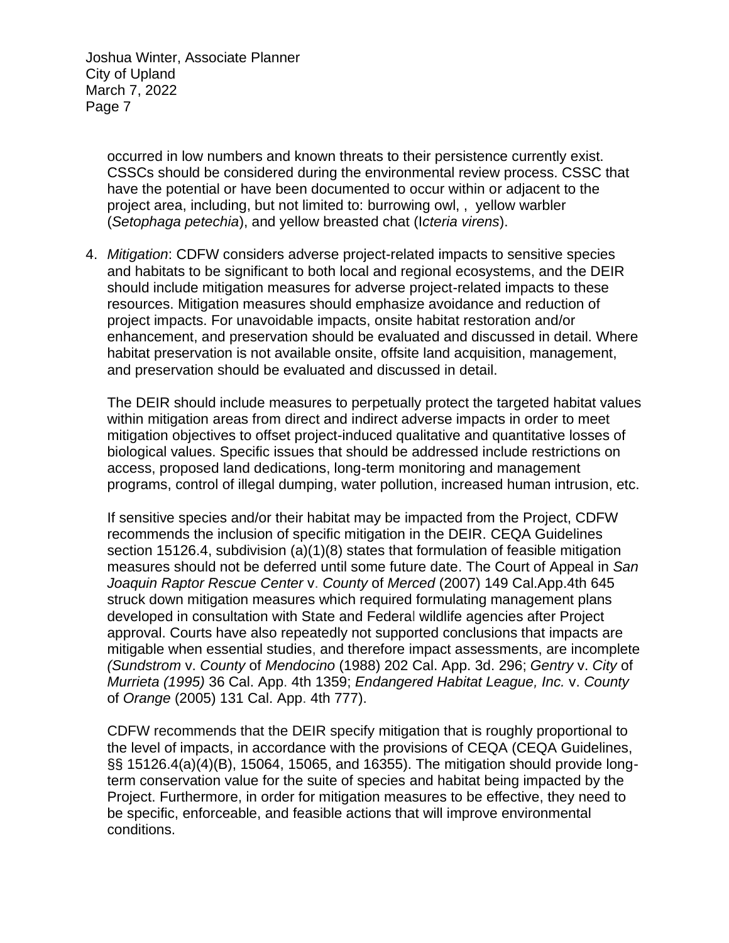> occurred in low numbers and known threats to their persistence currently exist. CSSCs should be considered during the environmental review process. CSSC that have the potential or have been documented to occur within or adjacent to the project area, including, but not limited to: burrowing owl, , yellow warbler (*Setophaga petechia*), and yellow breasted chat (I*cteria virens*).

4. *Mitigation*: CDFW considers adverse project-related impacts to sensitive species and habitats to be significant to both local and regional ecosystems, and the DEIR should include mitigation measures for adverse project-related impacts to these resources. Mitigation measures should emphasize avoidance and reduction of project impacts. For unavoidable impacts, onsite habitat restoration and/or enhancement, and preservation should be evaluated and discussed in detail. Where habitat preservation is not available onsite, offsite land acquisition, management, and preservation should be evaluated and discussed in detail.

The DEIR should include measures to perpetually protect the targeted habitat values within mitigation areas from direct and indirect adverse impacts in order to meet mitigation objectives to offset project-induced qualitative and quantitative losses of biological values. Specific issues that should be addressed include restrictions on access, proposed land dedications, long-term monitoring and management programs, control of illegal dumping, water pollution, increased human intrusion, etc.

If sensitive species and/or their habitat may be impacted from the Project, CDFW recommends the inclusion of specific mitigation in the DEIR. CEQA Guidelines section 15126.4, subdivision (a)(1)(8) states that formulation of feasible mitigation measures should not be deferred until some future date. The Court of Appeal in *San Joaquin Raptor Rescue Center* v. *County* of *Merced* (2007) 149 Cal.App.4th 645 struck down mitigation measures which required formulating management plans developed in consultation with State and Federal wildlife agencies after Project approval. Courts have also repeatedly not supported conclusions that impacts are mitigable when essential studies, and therefore impact assessments, are incomplete *(Sundstrom* v. *County* of *Mendocino* (1988) 202 Cal. App. 3d. 296; *Gentry* v. *City* of *Murrieta (1995)* 36 Cal. App. 4th 1359; *Endangered Habitat League, Inc.* v. *County*  of *Orange* (2005) 131 Cal. App. 4th 777).

CDFW recommends that the DEIR specify mitigation that is roughly proportional to the level of impacts, in accordance with the provisions of CEQA (CEQA Guidelines, §§ 15126.4(a)(4)(B), 15064, 15065, and 16355). The mitigation should provide longterm conservation value for the suite of species and habitat being impacted by the Project. Furthermore, in order for mitigation measures to be effective, they need to be specific, enforceable, and feasible actions that will improve environmental conditions.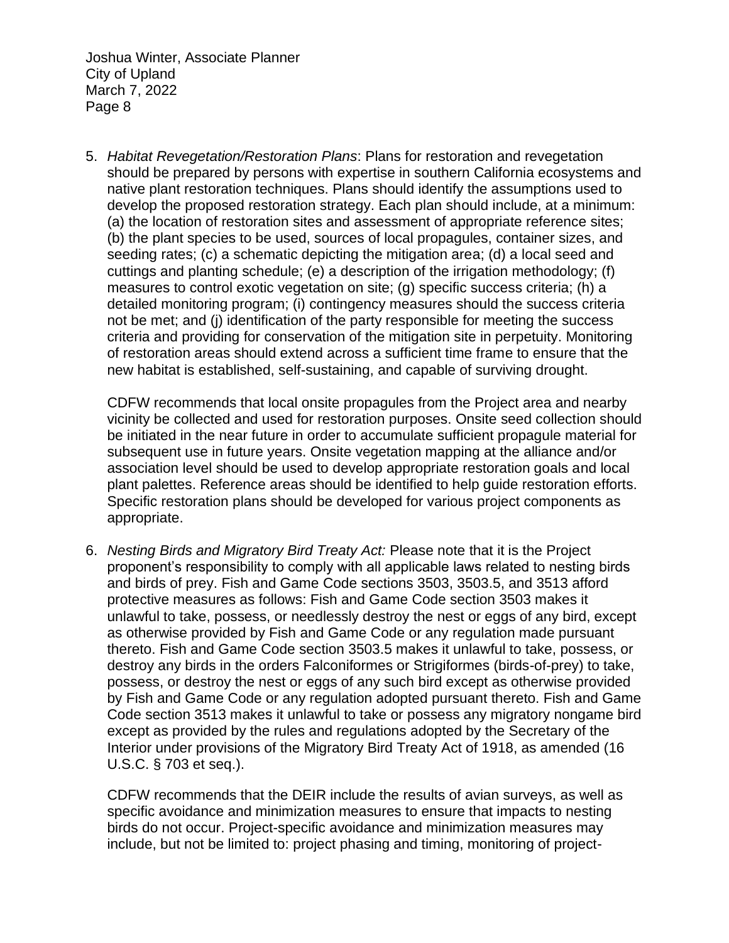5. *Habitat Revegetation/Restoration Plans*: Plans for restoration and revegetation should be prepared by persons with expertise in southern California ecosystems and native plant restoration techniques. Plans should identify the assumptions used to develop the proposed restoration strategy. Each plan should include, at a minimum: (a) the location of restoration sites and assessment of appropriate reference sites; (b) the plant species to be used, sources of local propagules, container sizes, and seeding rates; (c) a schematic depicting the mitigation area; (d) a local seed and cuttings and planting schedule; (e) a description of the irrigation methodology; (f) measures to control exotic vegetation on site; (g) specific success criteria; (h) a detailed monitoring program; (i) contingency measures should the success criteria not be met; and (j) identification of the party responsible for meeting the success criteria and providing for conservation of the mitigation site in perpetuity. Monitoring of restoration areas should extend across a sufficient time frame to ensure that the new habitat is established, self-sustaining, and capable of surviving drought.

CDFW recommends that local onsite propagules from the Project area and nearby vicinity be collected and used for restoration purposes. Onsite seed collection should be initiated in the near future in order to accumulate sufficient propagule material for subsequent use in future years. Onsite vegetation mapping at the alliance and/or association level should be used to develop appropriate restoration goals and local plant palettes. Reference areas should be identified to help guide restoration efforts. Specific restoration plans should be developed for various project components as appropriate.

6. *Nesting Birds and Migratory Bird Treaty Act:* Please note that it is the Project proponent's responsibility to comply with all applicable laws related to nesting birds and birds of prey. Fish and Game Code sections 3503, 3503.5, and 3513 afford protective measures as follows: Fish and Game Code section 3503 makes it unlawful to take, possess, or needlessly destroy the nest or eggs of any bird, except as otherwise provided by Fish and Game Code or any regulation made pursuant thereto. Fish and Game Code section 3503.5 makes it unlawful to take, possess, or destroy any birds in the orders Falconiformes or Strigiformes (birds-of-prey) to take, possess, or destroy the nest or eggs of any such bird except as otherwise provided by Fish and Game Code or any regulation adopted pursuant thereto. Fish and Game Code section 3513 makes it unlawful to take or possess any migratory nongame bird except as provided by the rules and regulations adopted by the Secretary of the Interior under provisions of the Migratory Bird Treaty Act of 1918, as amended (16 U.S.C. § 703 et seq.).

CDFW recommends that the DEIR include the results of avian surveys, as well as specific avoidance and minimization measures to ensure that impacts to nesting birds do not occur. Project-specific avoidance and minimization measures may include, but not be limited to: project phasing and timing, monitoring of project-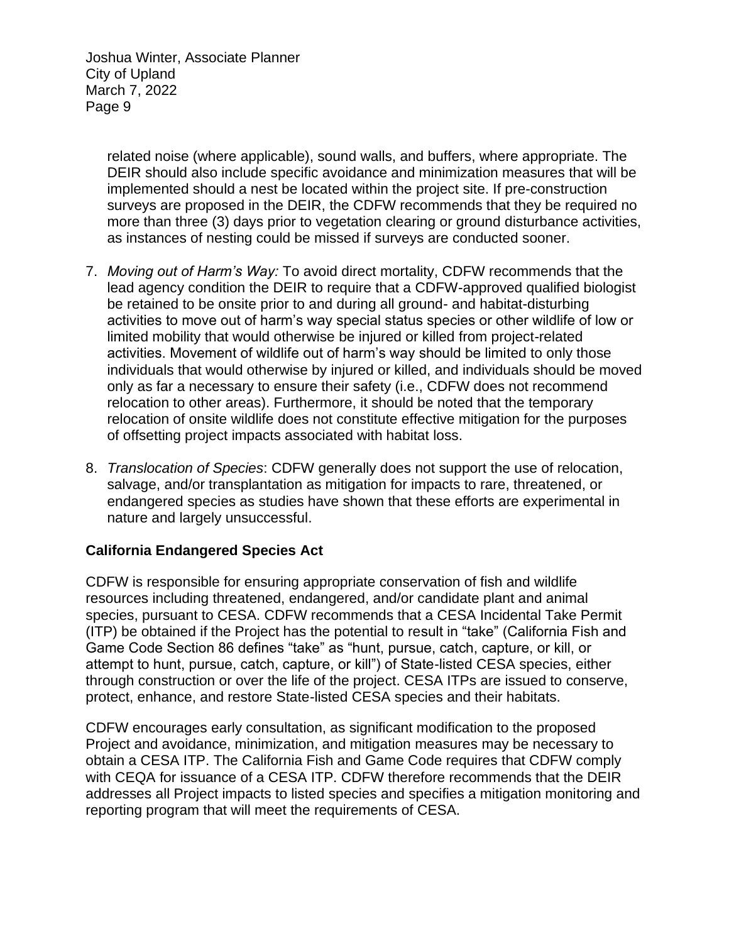> related noise (where applicable), sound walls, and buffers, where appropriate. The DEIR should also include specific avoidance and minimization measures that will be implemented should a nest be located within the project site. If pre-construction surveys are proposed in the DEIR, the CDFW recommends that they be required no more than three (3) days prior to vegetation clearing or ground disturbance activities, as instances of nesting could be missed if surveys are conducted sooner.

- 7. *Moving out of Harm's Way:* To avoid direct mortality, CDFW recommends that the lead agency condition the DEIR to require that a CDFW-approved qualified biologist be retained to be onsite prior to and during all ground- and habitat-disturbing activities to move out of harm's way special status species or other wildlife of low or limited mobility that would otherwise be injured or killed from project-related activities. Movement of wildlife out of harm's way should be limited to only those individuals that would otherwise by injured or killed, and individuals should be moved only as far a necessary to ensure their safety (i.e., CDFW does not recommend relocation to other areas). Furthermore, it should be noted that the temporary relocation of onsite wildlife does not constitute effective mitigation for the purposes of offsetting project impacts associated with habitat loss.
- 8. *Translocation of Species*: CDFW generally does not support the use of relocation, salvage, and/or transplantation as mitigation for impacts to rare, threatened, or endangered species as studies have shown that these efforts are experimental in nature and largely unsuccessful.

#### **California Endangered Species Act**

CDFW is responsible for ensuring appropriate conservation of fish and wildlife resources including threatened, endangered, and/or candidate plant and animal species, pursuant to CESA. CDFW recommends that a CESA Incidental Take Permit (ITP) be obtained if the Project has the potential to result in "take" (California Fish and Game Code Section 86 defines "take" as "hunt, pursue, catch, capture, or kill, or attempt to hunt, pursue, catch, capture, or kill") of State-listed CESA species, either through construction or over the life of the project. CESA ITPs are issued to conserve, protect, enhance, and restore State-listed CESA species and their habitats.

CDFW encourages early consultation, as significant modification to the proposed Project and avoidance, minimization, and mitigation measures may be necessary to obtain a CESA ITP. The California Fish and Game Code requires that CDFW comply with CEQA for issuance of a CESA ITP. CDFW therefore recommends that the DEIR addresses all Project impacts to listed species and specifies a mitigation monitoring and reporting program that will meet the requirements of CESA.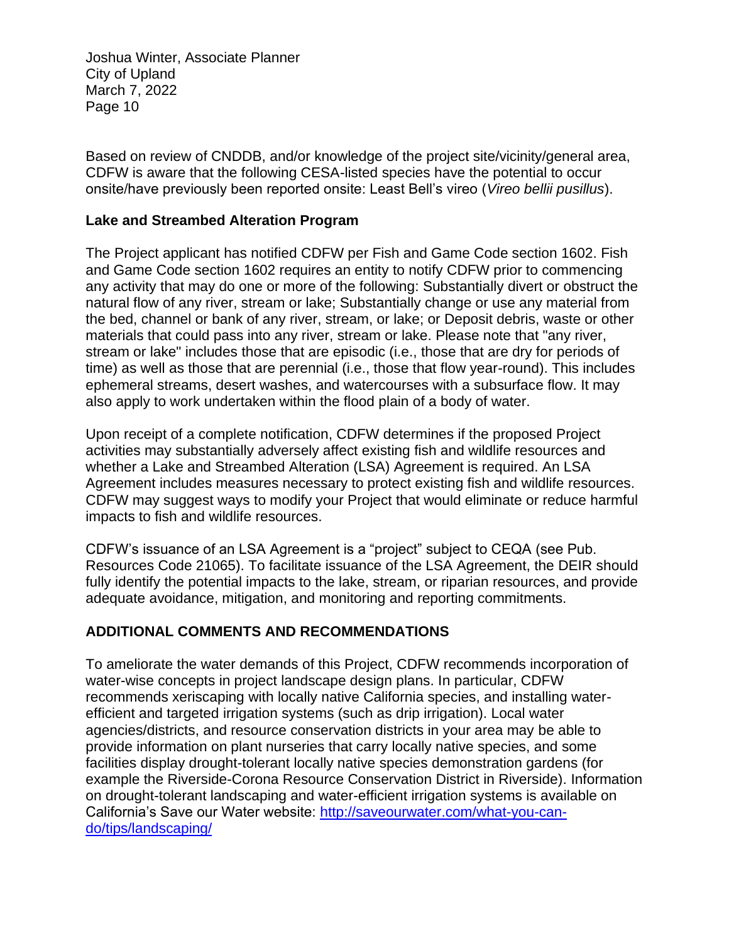Based on review of CNDDB, and/or knowledge of the project site/vicinity/general area, CDFW is aware that the following CESA-listed species have the potential to occur onsite/have previously been reported onsite: Least Bell's vireo (*Vireo bellii pusillus*).

#### **Lake and Streambed Alteration Program**

The Project applicant has notified CDFW per Fish and Game Code section 1602. Fish and Game Code section 1602 requires an entity to notify CDFW prior to commencing any activity that may do one or more of the following: Substantially divert or obstruct the natural flow of any river, stream or lake; Substantially change or use any material from the bed, channel or bank of any river, stream, or lake; or Deposit debris, waste or other materials that could pass into any river, stream or lake. Please note that "any river, stream or lake" includes those that are episodic (i.e., those that are dry for periods of time) as well as those that are perennial (i.e., those that flow year-round). This includes ephemeral streams, desert washes, and watercourses with a subsurface flow. It may also apply to work undertaken within the flood plain of a body of water.

Upon receipt of a complete notification, CDFW determines if the proposed Project activities may substantially adversely affect existing fish and wildlife resources and whether a Lake and Streambed Alteration (LSA) Agreement is required. An LSA Agreement includes measures necessary to protect existing fish and wildlife resources. CDFW may suggest ways to modify your Project that would eliminate or reduce harmful impacts to fish and wildlife resources.

CDFW's issuance of an LSA Agreement is a "project" subject to CEQA (see Pub. Resources Code 21065). To facilitate issuance of the LSA Agreement, the DEIR should fully identify the potential impacts to the lake, stream, or riparian resources, and provide adequate avoidance, mitigation, and monitoring and reporting commitments.

# **ADDITIONAL COMMENTS AND RECOMMENDATIONS**

To ameliorate the water demands of this Project, CDFW recommends incorporation of water-wise concepts in project landscape design plans. In particular, CDFW recommends xeriscaping with locally native California species, and installing waterefficient and targeted irrigation systems (such as drip irrigation). Local water agencies/districts, and resource conservation districts in your area may be able to provide information on plant nurseries that carry locally native species, and some facilities display drought-tolerant locally native species demonstration gardens (for example the Riverside-Corona Resource Conservation District in Riverside). Information on drought-tolerant landscaping and water-efficient irrigation systems is available on California's Save our Water website: [http://saveourwater.com/what-you-can](http://saveourwater.com/what-you-can-do/tips/landscaping/)[do/tips/landscaping/](http://saveourwater.com/what-you-can-do/tips/landscaping/)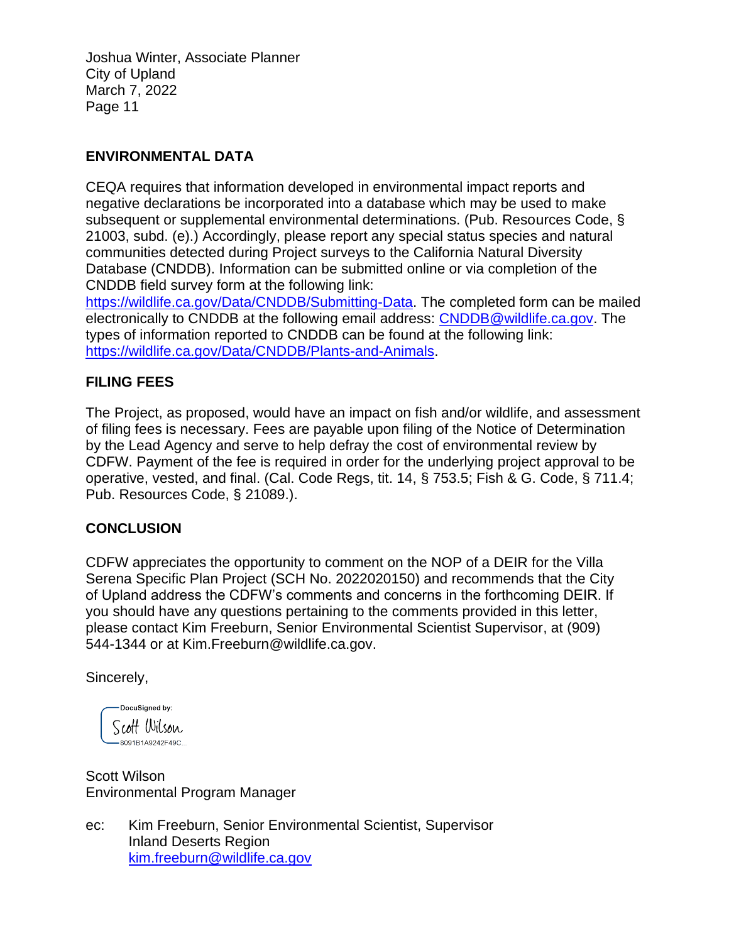## **ENVIRONMENTAL DATA**

CEQA requires that information developed in environmental impact reports and negative declarations be incorporated into a database which may be used to make subsequent or supplemental environmental determinations. (Pub. Resources Code, § 21003, subd. (e).) Accordingly, please report any special status species and natural communities detected during Project surveys to the California Natural Diversity Database (CNDDB). Information can be submitted online or via completion of the CNDDB field survey form at the following link:

[https://wildlife.ca.gov/Data/CNDDB/Submitting-Data.](https://wildlife.ca.gov/Data/CNDDB/Submitting-Data) The completed form can be mailed electronically to CNDDB at the following email address: [CNDDB@wildlife.ca.gov.](mailto:cnddb@dfg.ca.gov) The types of information reported to CNDDB can be found at the following link: [https://wildlife.ca.gov/Data/CNDDB/Plants-and-Animals.](https://wildlife.ca.gov/Data/CNDDB/Plants-and-Animals)

# **FILING FEES**

The Project, as proposed, would have an impact on fish and/or wildlife, and assessment of filing fees is necessary. Fees are payable upon filing of the Notice of Determination by the Lead Agency and serve to help defray the cost of environmental review by CDFW. Payment of the fee is required in order for the underlying project approval to be operative, vested, and final. (Cal. Code Regs, tit. 14, § 753.5; Fish & G. Code, § 711.4; Pub. Resources Code, § 21089.).

#### **CONCLUSION**

CDFW appreciates the opportunity to comment on the NOP of a DEIR for the Villa Serena Specific Plan Project (SCH No. 2022020150) and recommends that the City of Upland address the CDFW's comments and concerns in the forthcoming DEIR. If you should have any questions pertaining to the comments provided in this letter, please contact Kim Freeburn, Senior Environmental Scientist Supervisor, at (909) 544-1344 or at Kim.Freeburn@wildlife.ca.gov.

Sincerely,

DocuSigned by: Scott Wilson  $-8091B1A9242F49C...$ 

Scott Wilson Environmental Program Manager

ec: Kim Freeburn, Senior Environmental Scientist, Supervisor Inland Deserts Region [kim.freeburn@wildlife.ca.gov](mailto:kim.freeburn@wildlife.ca.gov)